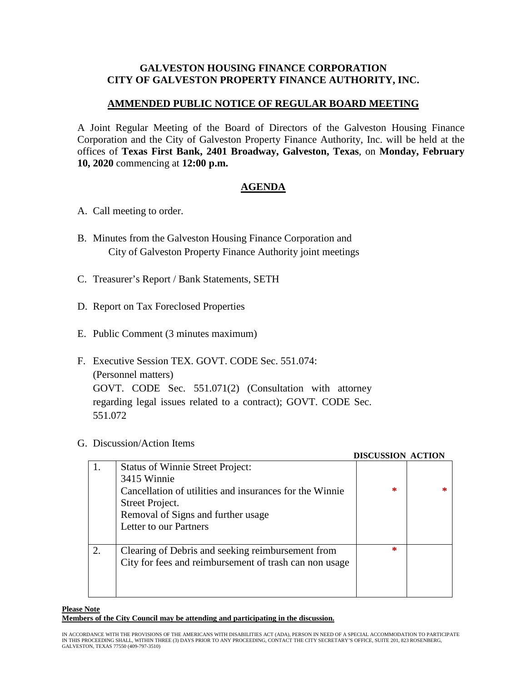## **GALVESTON HOUSING FINANCE CORPORATION CITY OF GALVESTON PROPERTY FINANCE AUTHORITY, INC.**

## **AMMENDED PUBLIC NOTICE OF REGULAR BOARD MEETING**

A Joint Regular Meeting of the Board of Directors of the Galveston Housing Finance Corporation and the City of Galveston Property Finance Authority, Inc. will be held at the offices of **Texas First Bank, 2401 Broadway, Galveston, Texas**, on **Monday, February 10, 2020** commencing at **12:00 p.m.**

## **AGENDA**

- A. Call meeting to order.
- B. Minutes from the Galveston Housing Finance Corporation and City of Galveston Property Finance Authority joint meetings
- C. Treasurer's Report / Bank Statements, SETH
- D. Report on Tax Foreclosed Properties
- E. Public Comment (3 minutes maximum)
- F. Executive Session TEX. GOVT. CODE Sec. 551.074: (Personnel matters) GOVT. CODE Sec. 551.071(2) (Consultation with attorney regarding legal issues related to a contract); GOVT. CODE Sec. 551.072
- G. Discussion/Action Items

|    |                                                         | DISCUSSION ACTION |  |
|----|---------------------------------------------------------|-------------------|--|
|    | <b>Status of Winnie Street Project:</b>                 |                   |  |
|    | 3415 Winnie                                             |                   |  |
|    | Cancellation of utilities and insurances for the Winnie | ∗                 |  |
|    | Street Project.                                         |                   |  |
|    | Removal of Signs and further usage                      |                   |  |
|    | Letter to our Partners                                  |                   |  |
|    |                                                         |                   |  |
| 2. | Clearing of Debris and seeking reimbursement from       | $\ast$            |  |
|    | City for fees and reimbursement of trash can non usage  |                   |  |
|    |                                                         |                   |  |
|    |                                                         |                   |  |
|    |                                                         |                   |  |

 **DISCUSSION ACTION**

## **Please Note Members of the City Council may be attending and participating in the discussion.**

IN ACCORDANCE WITH THE PROVISIONS OF THE AMERICANS WITH DISABILITIES ACT (ADA), PERSON IN NEED OF A SPECIAL ACCOMMODATION TO PARTICIPATE IN THIS PROCEEDING SHALL, WITHIN THREE (3) DAYS PRIOR TO ANY PROCEEDING, CONTACT THE CITY SECRETARY'S OFFICE, SUITE 201, 823 ROSENBERG, GALVESTON, TEXAS 77550 (409-797-3510)